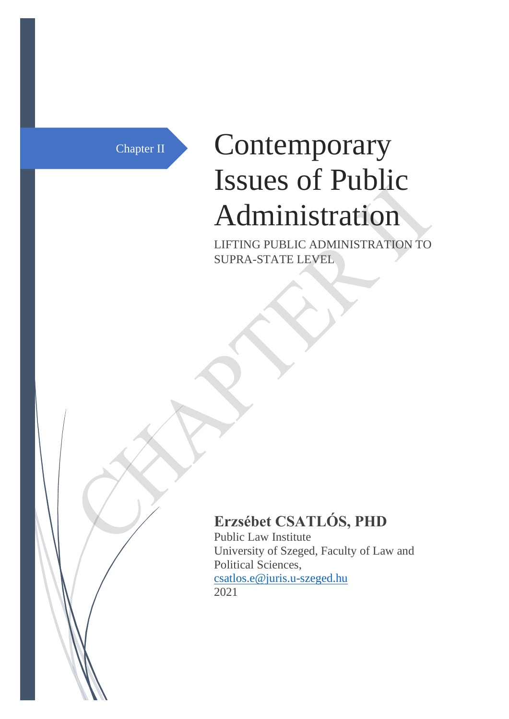# Chapter II Contemporary Issues of Public Administration

LIFTING PUBLIC ADMINISTRATION TO SUPRA-STATE LEVEL

## **Erzsébet CSATLÓS, PHD**

Public Law Institute University of Szeged, Faculty of Law and Political Sciences, [csatlos.e@juris.u-szeged.hu](mailto:csatlos.e@juris.u-szeged.hu) 2021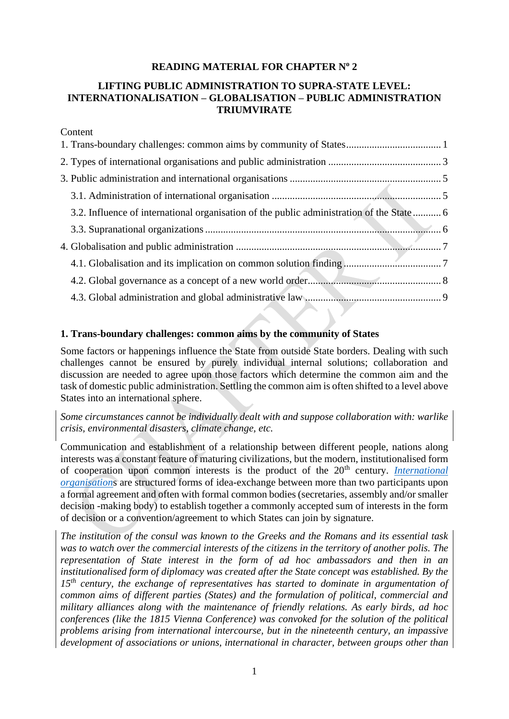#### **READING MATERIAL FOR CHAPTER N<sup>o</sup> 2**

#### **LIFTING PUBLIC ADMINISTRATION TO SUPRA-STATE LEVEL: INTERNATIONALISATION – GLOBALISATION – PUBLIC ADMINISTRATION TRIUMVIRATE**

### Content [1. Trans-boundary challenges: common aims by community of States.....................................](#page-1-0) 1 [2. Types of international organisations and public administration](#page-3-0) ............................................ 3 [3. Public administration and international organisations](#page-5-0) ........................................................... 5 [3.1. Administration of international organisation](#page-5-1) .................................................................. 5 [3.2. Influence of international organisation of the public administration of the State](#page-6-0) ........... 6 [3.3. Supranational organizations............................................................................................](#page-6-1) 6 4. Globalisation and public administration [................................................................................](#page-7-0) 7 [4.1. Globalisation and its implication on common solution finding](#page-7-1) ...................................... 7

[4.2. Global governance as a concept of a new world order....................................................](#page-8-0) 8 [4.3. Global administration and global administrative law](#page-9-0) ..................................................... 9

#### <span id="page-1-0"></span>**1. Trans-boundary challenges: common aims by the community of States**

Some factors or happenings influence the State from outside State borders. Dealing with such challenges cannot be ensured by purely individual internal solutions; collaboration and discussion are needed to agree upon those factors which determine the common aim and the task of domestic public administration. Settling the common aim is often shifted to a level above States into an international sphere.

*Some circumstances cannot be individually dealt with and suppose collaboration with: warlike crisis, environmental disasters, climate change, etc.*

Communication and establishment of a relationship between different people, nations along interests was a constant feature of maturing civilizations, but the modern, institutionalised form of cooperation upon common interests is the product of the 20<sup>th</sup> century. *International [organisation](https://www.britannica.com/topic/international-organization)*s are structured forms of idea-exchange between more than two participants upon a formal agreement and often with formal common bodies (secretaries, assembly and/or smaller decision -making body) to establish together a commonly accepted sum of interests in the form of decision or a convention/agreement to which States can join by signature.

*The institution of the consul was known to the Greeks and the Romans and its essential task was to watch over the commercial interests of the citizens in the territory of another polis. The representation of State interest in the form of ad hoc ambassadors and then in an institutionalised form of diplomacy was created after the State concept was established. By the 15th century, the exchange of representatives has started to dominate in argumentation of common aims of different parties (States) and the formulation of political, commercial and military alliances along with the maintenance of friendly relations. As early birds, ad hoc conferences (like the 1815 Vienna Conference) was convoked for the solution of the political problems arising from international intercourse, but in the nineteenth century, an impassive development of associations or unions, international in character, between groups other than*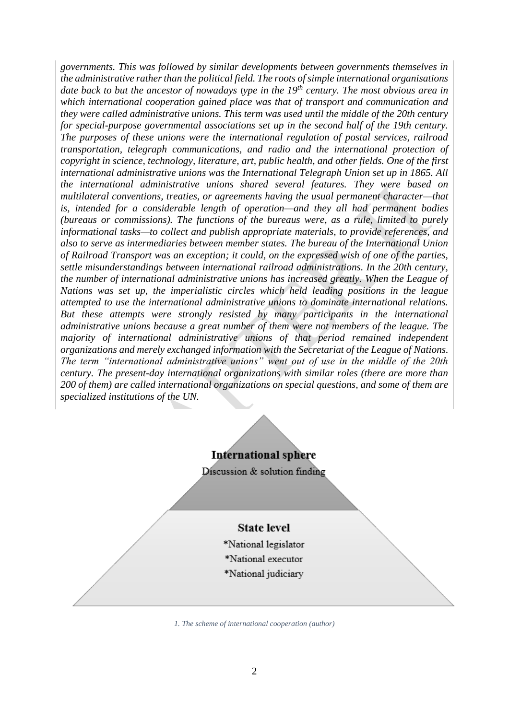*governments. This was followed by similar developments between governments themselves in the administrative rather than the political field. The roots of simple international organisations date back to but the ancestor of nowadays type in the 19th century. The most obvious area in which international cooperation gained place was that of transport and communication and they were called administrative unions. This term was used until the middle of the 20th century for special-purpose governmental associations set up in the second half of the 19th century. The purposes of these unions were the international regulation of postal services, railroad transportation, telegraph communications, and radio and the international protection of copyright in science, technology, literature, art, public health, and other fields. One of the first international administrative unions was the International Telegraph Union set up in 1865. All the international administrative unions shared several features. They were based on multilateral conventions, treaties, or agreements having the usual permanent character—that is, intended for a considerable length of operation—and they all had permanent bodies (bureaus or commissions). The functions of the bureaus were, as a rule, limited to purely informational tasks—to collect and publish appropriate materials, to provide references, and also to serve as intermediaries between member states. The bureau of the International Union of Railroad Transport was an exception; it could, on the expressed wish of one of the parties, settle misunderstandings between international railroad administrations. In the 20th century, the number of international administrative unions has increased greatly. When the League of Nations was set up, the imperialistic circles which held leading positions in the league attempted to use the international administrative unions to dominate international relations. But these attempts were strongly resisted by many participants in the international administrative unions because a great number of them were not members of the league. The majority of international administrative unions of that period remained independent organizations and merely exchanged information with the Secretariat of the League of Nations. The term "international administrative unions" went out of use in the middle of the 20th century. The present-day international organizations with similar roles (there are more than 200 of them) are called international organizations on special questions, and some of them are specialized institutions of the UN.*

**International sphere** 

Discussion & solution finding

#### **State level**

- \*National legislator \*National executor
- \*National judiciary
- *1. The scheme of international cooperation (author)*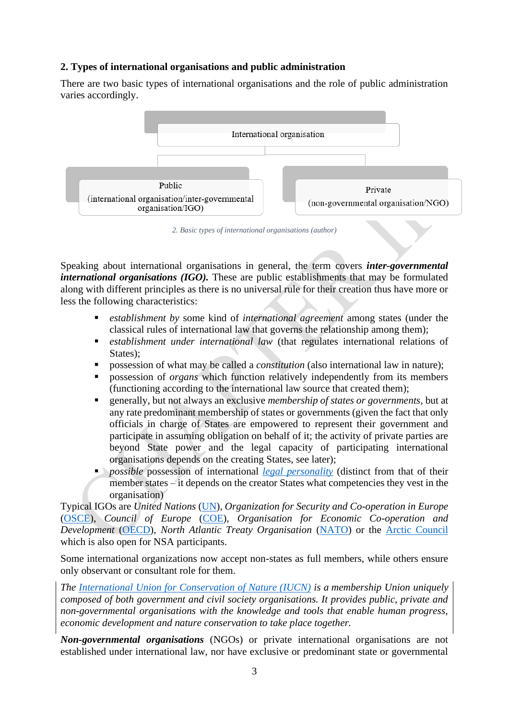#### <span id="page-3-0"></span>**2. Types of international organisations and public administration**

There are two basic types of international organisations and the role of public administration varies accordingly.



*2. Basic types of international organisations (author)*

Speaking about international organisations in general, the term covers *inter-governmental international organisations (IGO)*. These are public establishments that may be formulated along with different principles as there is no universal rule for their creation thus have more or less the following characteristics:

- *establishment by* some kind of *international agreement* among states (under the classical rules of international law that governs the relationship among them);
- establishment under international law (that regulates international relations of States);
- possession of what may be called a *constitution* (also international law in nature);
- possession of *organs* which function relatively independently from its members (functioning according to the international law source that created them);
- generally, but not always an exclusive *membership of states or governments*, but at any rate predominant membership of states or governments (given the fact that only officials in charge of States are empowered to represent their government and participate in assuming obligation on behalf of it; the activity of private parties are beyond State power and the legal capacity of participating international organisations depends on the creating States, see later);
- **•** *possible* possession of international *[legal personality](https://www.definitions.net/definition/legal+personality)* (distinct from that of their member states – it depends on the creator States what competencies they vest in the organisation)

Typical IGOs are *United Nations* [\(UN\)](https://www.un.org/en/about-un/), *Organization for Security and Co-operation in Europe* [\(OSCE\)](https://www.osce.org/who-we-are), *Council of Europe* [\(COE\)](https://www.coe.int/en/web/portal), *Organisation for Economic Co-operation and Development* [\(OECD\)](http://www.oecd.org/about/), *North Atlantic Treaty Organisation* [\(NATO\)](https://www.nato.int/) or the [Arctic Council](https://arctic-council.org/index.php/en/about-us)  which is also open for NSA participants.

Some international organizations now accept non-states as full members, while others ensure only observant or consultant role for them.

*The [International Union for Conservation of Nature](https://www.iucn.org/about) (IUCN) is a membership Union uniquely composed of both government and civil society organisations. It provides public, private and non-governmental organisations with the knowledge and tools that enable human progress, economic development and nature conservation to take place together.* 

*Non-governmental organisations* (NGOs) or private international organisations are not established under international law, nor have exclusive or predominant state or governmental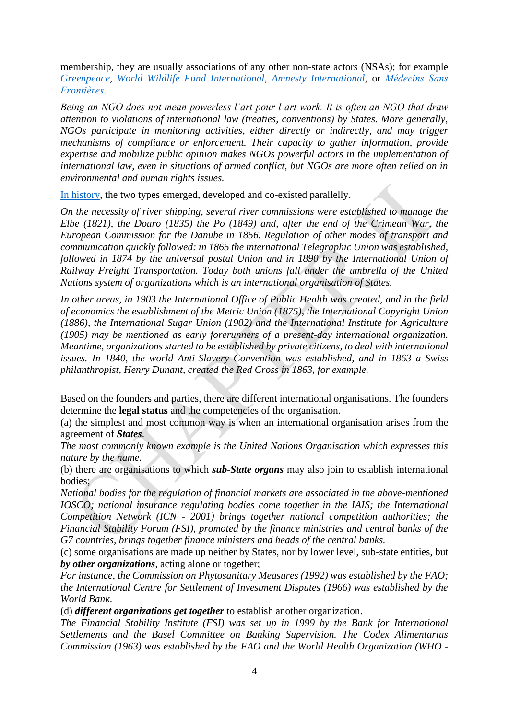membership, they are usually associations of any other non-state actors (NSAs); for example *[Greenpeace](https://www.greenpeace.org/international/)*, *[World Wildlife Fund International](https://www.worldwildlife.org/)*, *[Amnesty International](https://www.amnesty.org/en/)*, or *[Médecins Sans](https://www.msf.org/)  [Frontières](https://www.msf.org/)*.

*Being an NGO does not mean powerless l'art pour l'art work. It is often an NGO that draw attention to violations of international law (treaties, conventions) by States. More generally, NGOs participate in monitoring activities, either directly or indirectly, and may trigger mechanisms of compliance or enforcement. Their capacity to gather information, provide expertise and mobilize public opinion makes NGOs powerful actors in the implementation of international law, even in situations of armed conflict, but NGOs are more often relied on in environmental and human rights issues.*

[In history,](https://www.abyssinialaw.com/online-resources/study-on-line/item/475-the-historical-development-of-international-organizations) the two types emerged, developed and co-existed parallelly.

*On the necessity of river shipping, several river commissions were established to manage the Elbe (1821), the Douro (1835) the Po (1849) and, after the end of the Crimean War, the European Commission for the Danube in 1856. Regulation of other modes of transport and communication quickly followed: in 1865 the international Telegraphic Union was established, followed in 1874 by the universal postal Union and in 1890 by the International Union of Railway Freight Transportation. Today both unions fall under the umbrella of the United Nations system of organizations which is an international organisation of States.*

*In other areas, in 1903 the International Office of Public Health was created, and in the field of economics the establishment of the Metric Union (1875), the International Copyright Union (1886), the International Sugar Union (1902) and the International Institute for Agriculture (1905) may be mentioned as early forerunners of a present-day international organization. Meantime, organizations started to be established by private citizens, to deal with international issues. In 1840, the world Anti-Slavery Convention was established, and in 1863 a Swiss philanthropist, Henry Dunant, created the Red Cross in 1863, for example.*

Based on the founders and parties, there are different international organisations. The founders determine the **legal status** and the competencies of the organisation.

(a) the simplest and most common way is when an international organisation arises from the agreement of *States*.

*The most commonly known example is the United Nations Organisation which expresses this nature by the name.*

(b) there are organisations to which *sub-State organs* may also join to establish international bodies;

*National bodies for the regulation of financial markets are associated in the above-mentioned IOSCO; national insurance regulating bodies come together in the IAIS; the International Competition Network (ICN - 2001) brings together national competition authorities; the Financial Stability Forum (FSI), promoted by the finance ministries and central banks of the G7 countries, brings together finance ministers and heads of the central banks.*

(c) some organisations are made up neither by States, nor by lower level, sub-state entities, but *by other organizations*, acting alone or together;

*For instance, the Commission on Phytosanitary Measures (1992) was established by the FAO; the International Centre for Settlement of Investment Disputes (1966) was established by the World Bank*.

(d) *different organizations get together* to establish another organization.

*The Financial Stability Institute (FSI) was set up in 1999 by the Bank for International Settlements and the Basel Committee on Banking Supervision. The Codex Alimentarius Commission (1963) was established by the FAO and the World Health Organization (WHO -*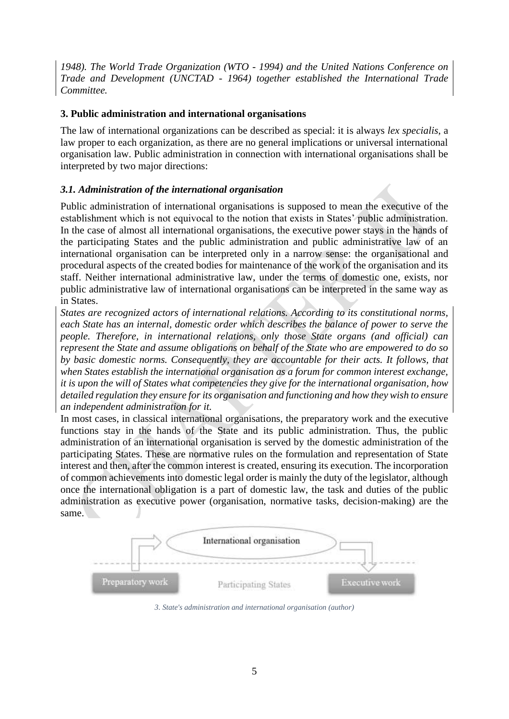*1948). The World Trade Organization (WTO - 1994) and the United Nations Conference on Trade and Development (UNCTAD - 1964) together established the International Trade Committee.*

#### <span id="page-5-0"></span>**3. Public administration and international organisations**

The law of international organizations can be described as special: it is always *lex specialis*, a law proper to each organization, as there are no general implications or universal international organisation law. Public administration in connection with international organisations shall be interpreted by two major directions:

#### <span id="page-5-1"></span>*3.1. Administration of the international organisation*

Public administration of international organisations is supposed to mean the executive of the establishment which is not equivocal to the notion that exists in States' public administration. In the case of almost all international organisations, the executive power stays in the hands of the participating States and the public administration and public administrative law of an international organisation can be interpreted only in a narrow sense: the organisational and procedural aspects of the created bodies for maintenance of the work of the organisation and its staff. Neither international administrative law, under the terms of domestic one, exists, nor public administrative law of international organisations can be interpreted in the same way as in States.

*States are recognized actors of international relations. According to its constitutional norms, each State has an internal, domestic order which describes the balance of power to serve the people. Therefore, in international relations, only those State organs (and official) can represent the State and assume obligations on behalf of the State who are empowered to do so by basic domestic norms. Consequently, they are accountable for their acts. It follows, that when States establish the international organisation as a forum for common interest exchange, it is upon the will of States what competencies they give for the international organisation, how detailed regulation they ensure for its organisation and functioning and how they wish to ensure an independent administration for it.* 

In most cases, in classical international organisations, the preparatory work and the executive functions stay in the hands of the State and its public administration. Thus, the public administration of an international organisation is served by the domestic administration of the participating States. These are normative rules on the formulation and representation of State interest and then, after the common interest is created, ensuring its execution. The incorporation of common achievements into domestic legal order is mainly the duty of the legislator, although once the international obligation is a part of domestic law, the task and duties of the public administration as executive power (organisation, normative tasks, decision-making) are the same.



*3. State's administration and international organisation (author)*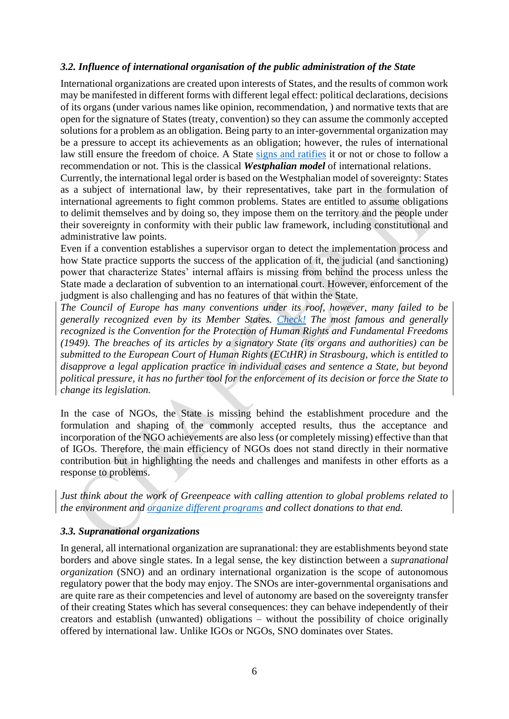#### <span id="page-6-0"></span>*3.2. Influence of international organisation of the public administration of the State*

International organizations are created upon interests of States, and the results of common work may be manifested in different forms with different legal effect: political declarations, decisions of its organs (under various names like opinion, recommendation, ) and normative texts that are open for the signature of States (treaty, convention) so they can assume the commonly accepted solutions for a problem as an obligation. Being party to an inter-governmental organization may be a pressure to accept its achievements as an obligation; however, the rules of international law still ensure the freedom of choice. A State [signs and ratifies](https://treaties.un.org/Pages/Overview.aspx?path=overview/glossary/page1_en.xml) it or not or chose to follow a recommendation or not. This is the classical *Westphalian model* of international relations.

Currently, the international legal order is based on the Westphalian model of sovereignty: States as a subject of international law, by their representatives, take part in the formulation of international agreements to fight common problems. States are entitled to assume obligations to delimit themselves and by doing so, they impose them on the territory and the people under their sovereignty in conformity with their public law framework, including constitutional and administrative law points.

Even if a convention establishes a supervisor organ to detect the implementation process and how State practice supports the success of the application of it, the judicial (and sanctioning) power that characterize States' internal affairs is missing from behind the process unless the State made a declaration of subvention to an international court. However, enforcement of the judgment is also challenging and has no features of that within the State.

*The Council of Europe has many conventions under its roof, however, many failed to be generally recognized even by its Member States. [Check!](https://www.coe.int/en/web/conventions/full-list) The most famous and generally recognized is the Convention for the Protection of Human Rights and Fundamental Freedoms (1949). The breaches of its articles by a signatory State (its organs and authorities) can be submitted to the European Court of Human Rights (ECtHR) in Strasbourg, which is entitled to disapprove a legal application practice in individual cases and sentence a State, but beyond political pressure, it has no further tool for the enforcement of its decision or force the State to change its legislation.*

In the case of NGOs, the State is missing behind the establishment procedure and the formulation and shaping of the commonly accepted results, thus the acceptance and incorporation of the NGO achievements are also less (or completely missing) effective than that of IGOs. Therefore, the main efficiency of NGOs does not stand directly in their normative contribution but in highlighting the needs and challenges and manifests in other efforts as a response to problems.

*Just think about the work of Greenpeace with calling attention to global problems related to the environment and [organize different programs](https://www.greenpeace.org/international/act/) and collect donations to that end.*

#### <span id="page-6-1"></span>*3.3. Supranational organizations*

In general, all international organization are supranational: they are establishments beyond state borders and above single states. In a legal sense, the key distinction between a *supranational organization* (SNO) and an ordinary international organization is the scope of autonomous regulatory power that the body may enjoy. The SNOs are inter-governmental organisations and are quite rare as their competencies and level of autonomy are based on the sovereignty transfer of their creating States which has several consequences: they can behave independently of their creators and establish (unwanted) obligations – without the possibility of choice originally offered by international law. Unlike IGOs or NGOs, SNO dominates over States.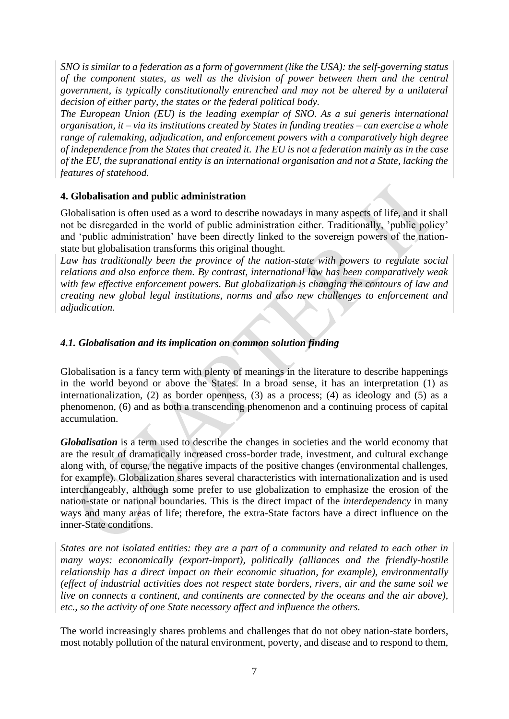*SNO is similar to a federation as a form of government (like the USA): the self-governing status of the component states, as well as the division of power between them and the central government, is typically constitutionally entrenched and may not be altered by a unilateral decision of either party, the states or the federal political body.* 

*The European Union (EU) is the leading exemplar of SNO. As a sui generis international organisation, it – via its institutions created by States in funding treaties – can exercise a whole range of rulemaking, adjudication, and enforcement powers with a comparatively high degree of independence from the States that created it. The EU is not a federation mainly as in the case of the EU, the supranational entity is an international organisation and not a State, lacking the features of statehood.*

#### <span id="page-7-0"></span>**4. Globalisation and public administration**

Globalisation is often used as a word to describe nowadays in many aspects of life, and it shall not be disregarded in the world of public administration either. Traditionally, 'public policy' and 'public administration' have been directly linked to the sovereign powers of the nationstate but globalisation transforms this original thought.

*Law has traditionally been the province of the nation-state with powers to regulate social relations and also enforce them. By contrast, international law has been comparatively weak with few effective enforcement powers. But globalization is changing the contours of law and creating new global legal institutions, norms and also new challenges to enforcement and adjudication.* 

#### <span id="page-7-1"></span>*4.1. Globalisation and its implication on common solution finding*

Globalisation is a fancy term with plenty of meanings in the literature to describe happenings in the world beyond or above the States. In a broad sense, it has an interpretation (1) as internationalization, (2) as border openness, (3) as a process; (4) as ideology and (5) as a phenomenon, (6) and as both a transcending phenomenon and a continuing process of capital accumulation.

*Globalisation* is a term used to describe the changes in societies and the world economy that are the result of dramatically increased cross-border trade, investment, and cultural exchange along with, of course, the negative impacts of the positive changes (environmental challenges, for example). Globalization shares several characteristics with internationalization and is used interchangeably, although some prefer to use globalization to emphasize the erosion of the nation-state or national boundaries. This is the direct impact of the *interdependency* in many ways and many areas of life; therefore, the extra-State factors have a direct influence on the inner-State conditions.

*States are not isolated entities: they are a part of a community and related to each other in many ways: economically (export-import), politically (alliances and the friendly-hostile relationship has a direct impact on their economic situation, for example), environmentally (effect of industrial activities does not respect state borders, rivers, air and the same soil we live on connects a continent, and continents are connected by the oceans and the air above), etc., so the activity of one State necessary affect and influence the others.*

The world increasingly shares problems and challenges that do not obey nation-state borders, most notably pollution of the natural environment, poverty, and disease and to respond to them,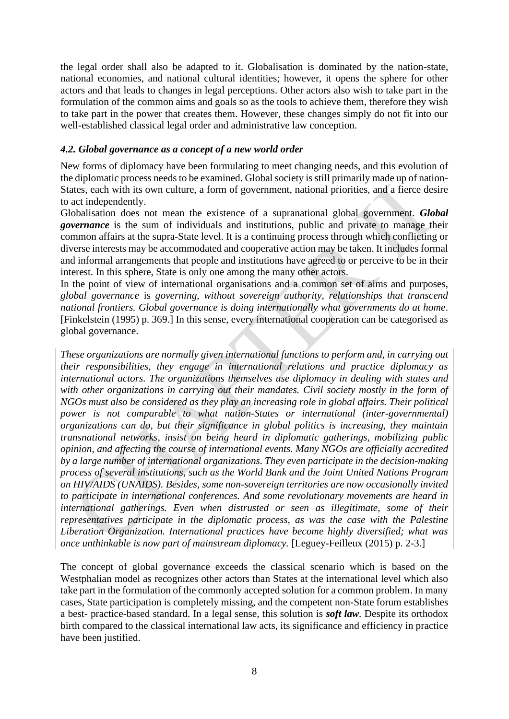the legal order shall also be adapted to it. Globalisation is dominated by the nation-state, national economies, and national cultural identities; however, it opens the sphere for other actors and that leads to changes in legal perceptions. Other actors also wish to take part in the formulation of the common aims and goals so as the tools to achieve them, therefore they wish to take part in the power that creates them. However, these changes simply do not fit into our well-established classical legal order and administrative law conception.

#### <span id="page-8-0"></span>*4.2. Global governance as a concept of a new world order*

New forms of diplomacy have been formulating to meet changing needs, and this evolution of the diplomatic process needs to be examined. Global society is still primarily made up of nation-States, each with its own culture, a form of government, national priorities, and a fierce desire to act independently.

Globalisation does not mean the existence of a supranational global government. *Global governance* is the sum of individuals and institutions, public and private to manage their common affairs at the supra-State level. It is a continuing process through which conflicting or diverse interests may be accommodated and cooperative action may be taken. It includes formal and informal arrangements that people and institutions have agreed to or perceive to be in their interest. In this sphere, State is only one among the many other actors.

In the point of view of international organisations and a common set of aims and purposes, *global governance* is *governing, without sovereign authority, relationships that transcend national frontiers. Global governance is doing internationally what governments do at home*. [Finkelstein (1995) p. 369.] In this sense, every international cooperation can be categorised as global governance.

*These organizations are normally given international functions to perform and, in carrying out their responsibilities, they engage in international relations and practice diplomacy as international actors. The organizations themselves use diplomacy in dealing with states and with other organizations in carrying out their mandates. Civil society mostly in the form of NGOs must also be considered as they play an increasing role in global affairs. Their political power is not comparable to what nation-States or international (inter-governmental) organizations can do, but their significance in global politics is increasing, they maintain transnational networks, insist on being heard in diplomatic gatherings, mobilizing public opinion, and affecting the course of international events. Many NGOs are officially accredited by a large number of international organizations. They even participate in the decision-making process of several institutions, such as the World Bank and the Joint United Nations Program on HIV/AIDS (UNAIDS). Besides, some non-sovereign territories are now occasionally invited to participate in international conferences. And some revolutionary movements are heard in international gatherings. Even when distrusted or seen as illegitimate, some of their representatives participate in the diplomatic process, as was the case with the Palestine Liberation Organization. International practices have become highly diversified; what was once unthinkable is now part of mainstream diplomacy.* [Leguey-Feilleux (2015) p. 2-3.]

The concept of global governance exceeds the classical scenario which is based on the Westphalian model as recognizes other actors than States at the international level which also take part in the formulation of the commonly accepted solution for a common problem. In many cases, State participation is completely missing, and the competent non-State forum establishes a best- practice-based standard. In a legal sense, this solution is *soft law.* Despite its orthodox birth compared to the classical international law acts, its significance and efficiency in practice have been justified.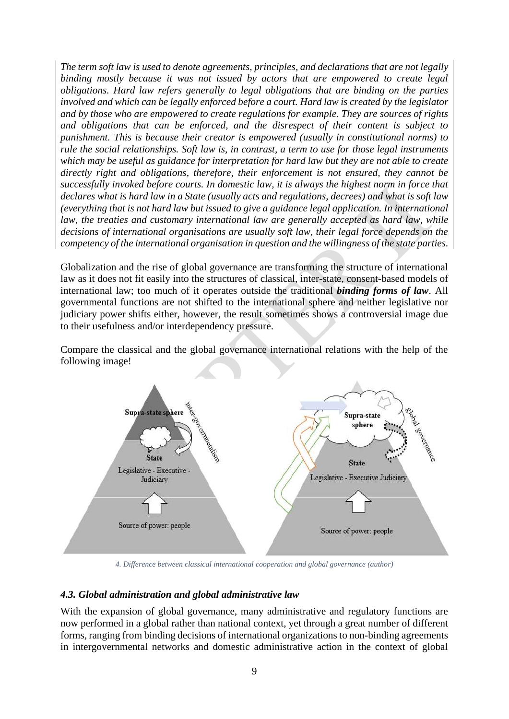*The term soft law is used to denote agreements, principles, and declarations that are not legally binding mostly because it was not issued by actors that are empowered to create legal obligations. Hard law refers generally to legal obligations that are binding on the parties involved and which can be legally enforced before a court. Hard law is created by the legislator and by those who are empowered to create regulations for example. They are sources of rights and obligations that can be enforced, and the disrespect of their content is subject to punishment. This is because their creator is empowered (usually in constitutional norms) to rule the social relationships. Soft law is, in contrast, a term to use for those legal instruments which may be useful as guidance for interpretation for hard law but they are not able to create directly right and obligations, therefore, their enforcement is not ensured, they cannot be successfully invoked before courts. In domestic law, it is always the highest norm in force that declares what is hard law in a State (usually acts and regulations, decrees) and what is soft law (everything that is not hard law but issued to give a guidance legal application. In international law, the treaties and customary international law are generally accepted as hard law, while decisions of international organisations are usually soft law, their legal force depends on the competency of the international organisation in question and the willingness of the state parties.*

Globalization and the rise of global governance are transforming the structure of international law as it does not fit easily into the structures of classical, inter-state, consent-based models of international law; too much of it operates outside the traditional *binding forms of law*. All governmental functions are not shifted to the international sphere and neither legislative nor judiciary power shifts either, however, the result sometimes shows a controversial image due to their usefulness and/or interdependency pressure.

Compare the classical and the global governance international relations with the help of the following image!



*4. Difference between classical international cooperation and global governance (author)*

#### <span id="page-9-0"></span>*4.3. Global administration and global administrative law*

With the expansion of global governance, many administrative and regulatory functions are now performed in a global rather than national context, yet through a great number of different forms, ranging from binding decisions of international organizations to non-binding agreements in intergovernmental networks and domestic administrative action in the context of global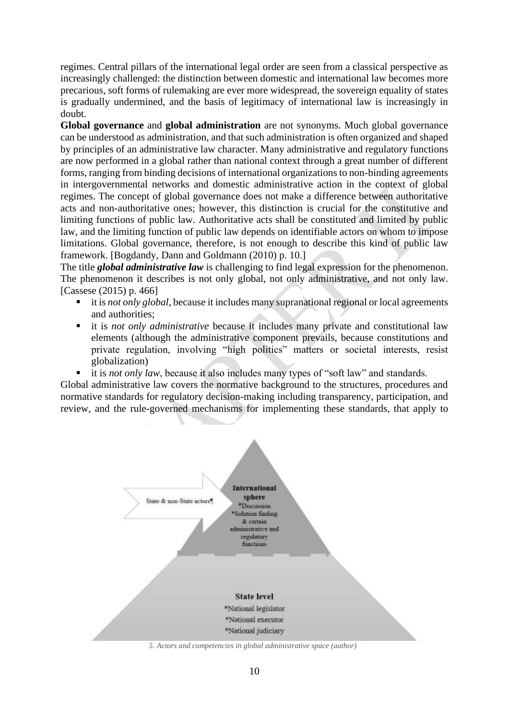regimes. Central pillars of the international legal order are seen from a classical perspective as increasingly challenged: the distinction between domestic and international law becomes more precarious, soft forms of rulemaking are ever more widespread, the sovereign equality of states is gradually undermined, and the basis of legitimacy of international law is increasingly in doubt.

**Global governance** and **global administration** are not synonyms. Much global governance can be understood as administration, and that such administration is often organized and shaped by principles of an administrative law character. Many administrative and regulatory functions are now performed in a global rather than national context through a great number of different forms, ranging from binding decisions of international organizations to non-binding agreements in intergovernmental networks and domestic administrative action in the context of global regimes. The concept of global governance does not make a difference between authoritative acts and non-authoritative ones; however, this distinction is crucial for the constitutive and limiting functions of public law. Authoritative acts shall be constituted and limited by public law, and the limiting function of public law depends on identifiable actors on whom to impose limitations. Global governance, therefore, is not enough to describe this kind of public law framework. [Bogdandy, Dann and Goldmann (2010) p. 10.]

The title *global administrative law* is challenging to find legal expression for the phenomenon. The phenomenon it describes is not only global, not only administrative, and not only law. [Cassese (2015) p. 466]

- it is *not only global*, because it includes many supranational regional or local agreements and authorities;
- it is *not only administrative* because it includes many private and constitutional law elements (although the administrative component prevails, because constitutions and private regulation, involving "high politics" matters or societal interests, resist globalization)
- it is *not only law*, because it also includes many types of "soft law" and standards.

Global administrative law covers the normative background to the structures, procedures and normative standards for regulatory decision-making including transparency, participation, and review, and the rule-governed mechanisms for implementing these standards, that apply to



*5. Actors and competencies in global administrative space (author)*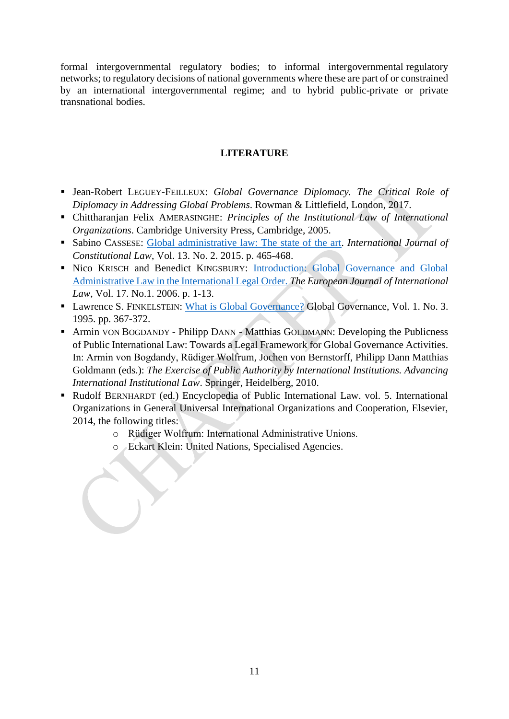formal intergovernmental regulatory bodies; to informal intergovernmental regulatory networks; to regulatory decisions of national governments where these are part of or constrained by an international intergovernmental regime; and to hybrid public-private or private transnational bodies.

#### **LITERATURE**

- Jean-Robert LEGUEY-FEILLEUX: *Global Governance Diplomacy. The Critical Role of Diplomacy in Addressing Global Problems*. Rowman & Littlefield, London, 2017.
- Chittharanjan Felix AMERASINGHE: *Principles of the Institutional Law of International Organizations*. Cambridge University Press, Cambridge, 2005.
- Sabino CASSESE: [Global administrative law: The state of the art.](https://academic.oup.com/icon/article/13/2/465/735692) *International Journal of Constitutional Law*, Vol. 13. No. 2. 2015. p. 465-468.
- **EXICO KRISCH and Benedict KINGSBURY: Introduction: Global Governance and Global** [Administrative Law in the International Legal Order.](https://watermark.silverchair.com/chi170.pdf?token=AQECAHi208BE49Ooan9kkhW_Ercy7Dm3ZL_9Cf3qfKAc485ysgAAAjgwggI0BgkqhkiG9w0BBwagggIlMIICIQIBADCCAhoGCSqGSIb3DQEHATAeBglghkgBZQMEAS4wEQQMChAYzCe-phKWuBm-AgEQgIIB6zzwulW60DsGA3EGPr7U8O0Afxp6KStDG63onCOqjdCLDcMctenZsROpsGrNbPng7wWEv6fReuZ0GoNoVmfKdisMEovxH_oFd625A0dbMsn3Avbgdu1QXDAO8MjINFc0STKzWEXzSfo_i7WasUGbJ3Q6rYPL_d1DrzMxhVJ4BBq-aFt98TuYo1JM0prA6PsZSZ40q4qJIMVsUn34-ftTFpANd2XiLHRX5F7qDWlpUGAr9lGaNGUAWfkMZMWzlRbnJZUPMFQ8O5hT7Zwv-r3AgwpjJIjeUq3Kky0exJRFNGWIAtbHmXxLWNb0K4kaKyVL7W3w0Mo57BRILLn6hfmknvJE5c-oBh3s8hh_W01ZCF07EtpxGj7-bBCfHRHEJ2u2n3BZRvDcKin3fioaw1BFWjxqEwjMw0odUrYp3YqLzpZ1Oxf9n0cdD8upEmrNx-n3k8RYLDj0xlYpQpsS8trS1Sg83BALnarB1KKDSyehimoh0Wlr3aJ48zbdkkFqBGsQoKfnE1UwazBsyXGM-eNQkeobW4VtbYGoEHrEbJl7z6oVP1tJtxQYyWqI_mipPhzOG4AgZQucdw7j1bs0e3-oAlOnm-BQy4kDLKlE2BLhzkRuXo5L6zmg8YIQ7Eq6ek9xMY9gm_Wril3utjHI) *The European Journal of International Law*, Vol. 17. No.1. 2006. p. 1-13.
- Lawrence S. FINKELSTEIN: [What is Global Governance?](file:///C:/Users/home/NAS-Drive/Malacka%20munkája/ERASMUS/kurzusok/Course_Contemporary%20Issues%20of%20PA/2.%20pakk/What%20Is%20Global%20Governance%3f) Global Governance, Vol. 1. No. 3. 1995. pp. 367-372.
- Armin VON BOGDANDY Philipp DANN Matthias GOLDMANN: Developing the Publicness of Public International Law: Towards a Legal Framework for Global Governance Activities. In: Armin von Bogdandy, Rüdiger Wolfrum, Jochen von Bernstorff, Philipp Dann Matthias Goldmann (eds.): *The Exercise of Public Authority by International Institutions. Advancing International Institutional Law*. Springer, Heidelberg, 2010.
- Rudolf BERNHARDT (ed.) Encyclopedia of Public International Law. vol. 5. International Organizations in General Universal International Organizations and Cooperation, Elsevier, 2014, the following titles:
	- o Rüdiger Wolfrum: International Administrative Unions.
	- o Eckart Klein: United Nations, Specialised Agencies.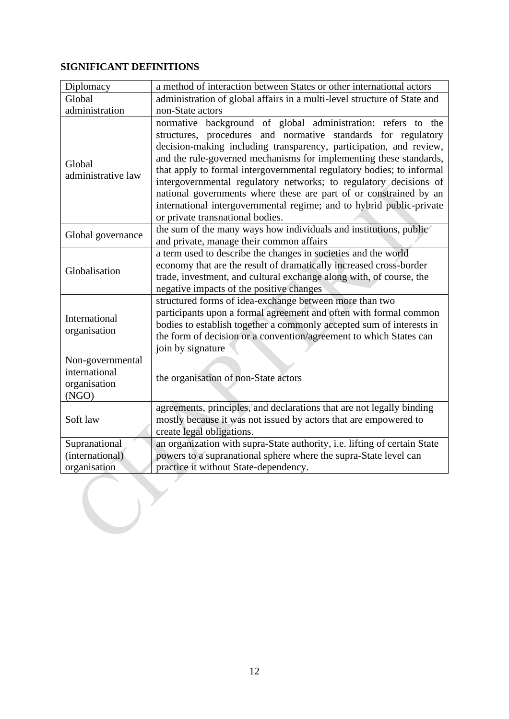#### **SIGNIFICANT DEFINITIONS**

| Diplomacy                                                  | a method of interaction between States or other international actors                                                                                                                                                                                                                                                                                                                                                                                                                                                                                                                                     |  |  |  |  |
|------------------------------------------------------------|----------------------------------------------------------------------------------------------------------------------------------------------------------------------------------------------------------------------------------------------------------------------------------------------------------------------------------------------------------------------------------------------------------------------------------------------------------------------------------------------------------------------------------------------------------------------------------------------------------|--|--|--|--|
| Global                                                     | administration of global affairs in a multi-level structure of State and                                                                                                                                                                                                                                                                                                                                                                                                                                                                                                                                 |  |  |  |  |
| administration                                             | non-State actors                                                                                                                                                                                                                                                                                                                                                                                                                                                                                                                                                                                         |  |  |  |  |
| Global<br>administrative law                               | normative background of global administration: refers to the<br>structures, procedures and normative standards for regulatory<br>decision-making including transparency, participation, and review,<br>and the rule-governed mechanisms for implementing these standards,<br>that apply to formal intergovernmental regulatory bodies; to informal<br>intergovernmental regulatory networks; to regulatory decisions of<br>national governments where these are part of or constrained by an<br>international intergovernmental regime; and to hybrid public-private<br>or private transnational bodies. |  |  |  |  |
| Global governance                                          | the sum of the many ways how individuals and institutions, public<br>and private, manage their common affairs                                                                                                                                                                                                                                                                                                                                                                                                                                                                                            |  |  |  |  |
| Globalisation                                              | a term used to describe the changes in societies and the world<br>economy that are the result of dramatically increased cross-border<br>trade, investment, and cultural exchange along with, of course, the<br>negative impacts of the positive changes                                                                                                                                                                                                                                                                                                                                                  |  |  |  |  |
| International<br>organisation                              | structured forms of idea-exchange between more than two<br>participants upon a formal agreement and often with formal common<br>bodies to establish together a commonly accepted sum of interests in<br>the form of decision or a convention/agreement to which States can<br>join by signature                                                                                                                                                                                                                                                                                                          |  |  |  |  |
| Non-governmental<br>international<br>organisation<br>(NGO) | the organisation of non-State actors                                                                                                                                                                                                                                                                                                                                                                                                                                                                                                                                                                     |  |  |  |  |
| Soft law                                                   | agreements, principles, and declarations that are not legally binding<br>mostly because it was not issued by actors that are empowered to<br>create legal obligations.                                                                                                                                                                                                                                                                                                                                                                                                                                   |  |  |  |  |
| Supranational<br>(international)<br>organisation           | an organization with supra-State authority, i.e. lifting of certain State<br>powers to a supranational sphere where the supra-State level can<br>practice it without State-dependency.                                                                                                                                                                                                                                                                                                                                                                                                                   |  |  |  |  |
|                                                            |                                                                                                                                                                                                                                                                                                                                                                                                                                                                                                                                                                                                          |  |  |  |  |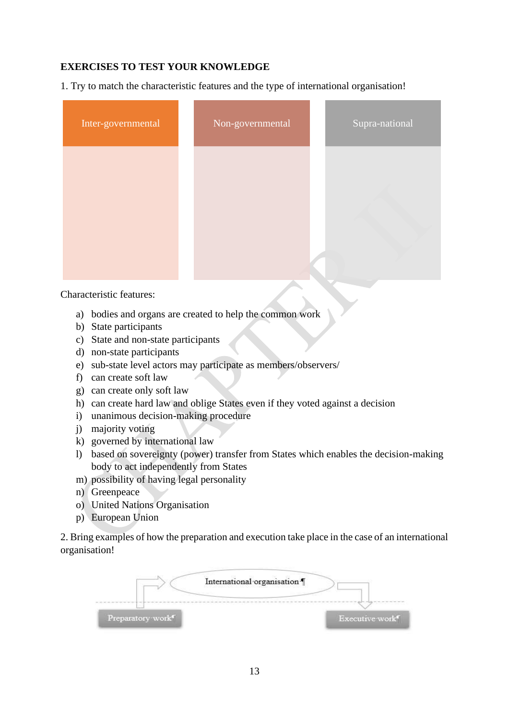#### **EXERCISES TO TEST YOUR KNOWLEDGE**

1. Try to match the characteristic features and the type of international organisation!

| Inter-governmental | Non-governmental | Supra-national |
|--------------------|------------------|----------------|
|                    |                  |                |
|                    |                  |                |
|                    |                  |                |

Characteristic features:

- a) bodies and organs are created to help the common work
- b) State participants
- c) State and non-state participants
- d) non-state participants
- e) sub-state level actors may participate as members/observers/
- f) can create soft law
- g) can create only soft law
- h) can create hard law and oblige States even if they voted against a decision
- i) unanimous decision-making procedure
- j) majority voting
- k) governed by international law
- l) based on sovereignty (power) transfer from States which enables the decision-making body to act independently from States
- m) possibility of having legal personality
- n) Greenpeace
- o) United Nations Organisation
- p) European Union

2. Bring examples of how the preparation and execution take place in the case of an international organisation!

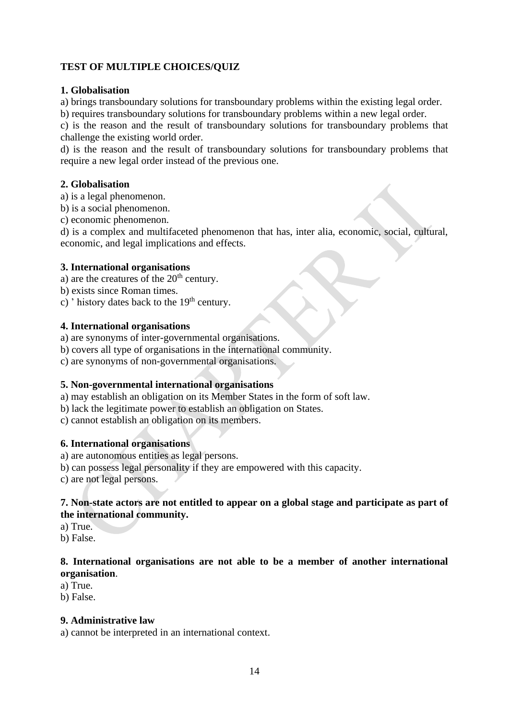#### **TEST OF MULTIPLE CHOICES/QUIZ**

#### **1. Globalisation**

a) brings transboundary solutions for transboundary problems within the existing legal order.

b) requires transboundary solutions for transboundary problems within a new legal order.

c) is the reason and the result of transboundary solutions for transboundary problems that challenge the existing world order.

d) is the reason and the result of transboundary solutions for transboundary problems that require a new legal order instead of the previous one.

#### **2. Globalisation**

a) is a legal phenomenon.

- b) is a social phenomenon.
- c) economic phenomenon.

d) is a complex and multifaceted phenomenon that has, inter alia, economic, social, cultural, economic, and legal implications and effects.

#### **3. International organisations**

- a) are the creatures of the  $20<sup>th</sup>$  century.
- b) exists since Roman times.
- c) ' history dates back to the  $19<sup>th</sup>$  century.

#### **4. International organisations**

a) are synonyms of inter-governmental organisations.

- b) covers all type of organisations in the international community.
- c) are synonyms of non-governmental organisations.

#### **5. Non-governmental international organisations**

a) may establish an obligation on its Member States in the form of soft law.

b) lack the legitimate power to establish an obligation on States.

c) cannot establish an obligation on its members.

#### **6. International organisations**

a) are autonomous entities as legal persons.

b) can possess legal personality if they are empowered with this capacity.

c) are not legal persons.

#### **7. Non-state actors are not entitled to appear on a global stage and participate as part of the international community.**

a) True.

b) False.

#### **8. International organisations are not able to be a member of another international organisation**.

a) True.

b) False.

#### **9. Administrative law**

a) cannot be interpreted in an international context.